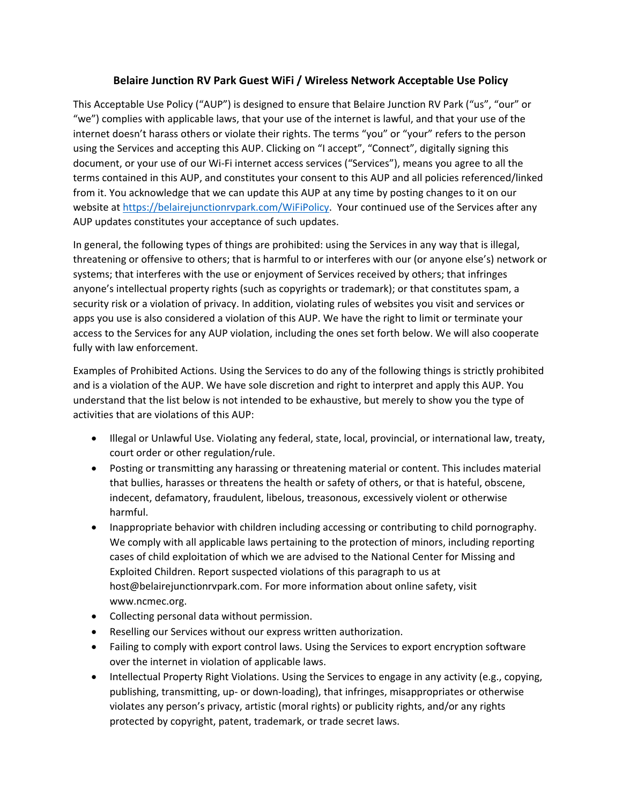## **Belaire Junction RV Park Guest WiFi / Wireless Network Acceptable Use Policy**

This Acceptable Use Policy ("AUP") is designed to ensure that Belaire Junction RV Park ("us", "our" or "we") complies with applicable laws, that your use of the internet is lawful, and that your use of the internet doesn't harass others or violate their rights. The terms "you" or "your" refers to the person using the Services and accepting this AUP. Clicking on "I accept", "Connect", digitally signing this document, or your use of our Wi‐Fi internet access services ("Services"), means you agree to all the terms contained in this AUP, and constitutes your consent to this AUP and all policies referenced/linked from it. You acknowledge that we can update this AUP at any time by posting changes to it on our website at https://belairejunctionrvpark.com/WiFiPolicy. Your continued use of the Services after any AUP updates constitutes your acceptance of such updates.

In general, the following types of things are prohibited: using the Services in any way that is illegal, threatening or offensive to others; that is harmful to or interferes with our (or anyone else's) network or systems; that interferes with the use or enjoyment of Services received by others; that infringes anyone's intellectual property rights (such as copyrights or trademark); or that constitutes spam, a security risk or a violation of privacy. In addition, violating rules of websites you visit and services or apps you use is also considered a violation of this AUP. We have the right to limit or terminate your access to the Services for any AUP violation, including the ones set forth below. We will also cooperate fully with law enforcement.

Examples of Prohibited Actions. Using the Services to do any of the following things is strictly prohibited and is a violation of the AUP. We have sole discretion and right to interpret and apply this AUP. You understand that the list below is not intended to be exhaustive, but merely to show you the type of activities that are violations of this AUP:

- Illegal or Unlawful Use. Violating any federal, state, local, provincial, or international law, treaty, court order or other regulation/rule.
- Posting or transmitting any harassing or threatening material or content. This includes material that bullies, harasses or threatens the health or safety of others, or that is hateful, obscene, indecent, defamatory, fraudulent, libelous, treasonous, excessively violent or otherwise harmful.
- Inappropriate behavior with children including accessing or contributing to child pornography. We comply with all applicable laws pertaining to the protection of minors, including reporting cases of child exploitation of which we are advised to the National Center for Missing and Exploited Children. Report suspected violations of this paragraph to us at host@belairejunctionrvpark.com. For more information about online safety, visit www.ncmec.org.
- Collecting personal data without permission.
- Reselling our Services without our express written authorization.
- Failing to comply with export control laws. Using the Services to export encryption software over the internet in violation of applicable laws.
- Intellectual Property Right Violations. Using the Services to engage in any activity (e.g., copying, publishing, transmitting, up‐ or down‐loading), that infringes, misappropriates or otherwise violates any person's privacy, artistic (moral rights) or publicity rights, and/or any rights protected by copyright, patent, trademark, or trade secret laws.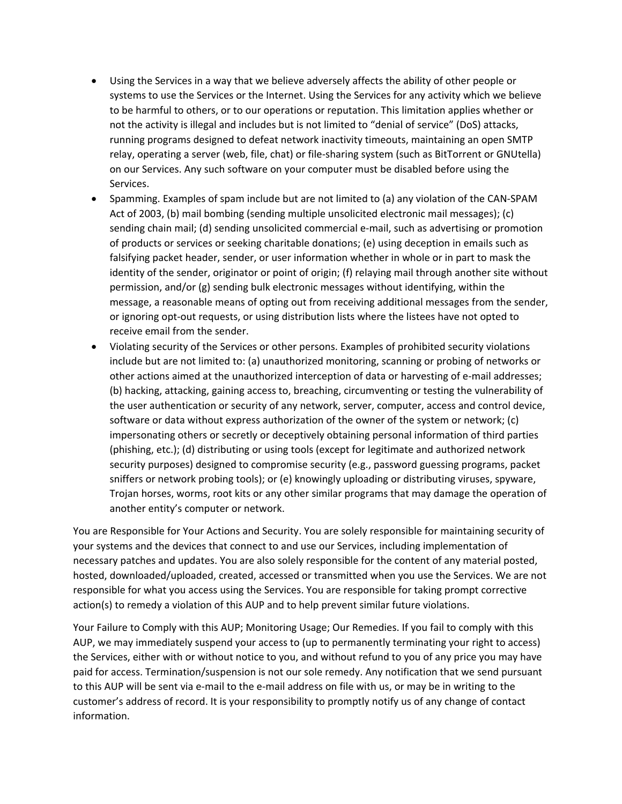- Using the Services in a way that we believe adversely affects the ability of other people or systems to use the Services or the Internet. Using the Services for any activity which we believe to be harmful to others, or to our operations or reputation. This limitation applies whether or not the activity is illegal and includes but is not limited to "denial of service" (DoS) attacks, running programs designed to defeat network inactivity timeouts, maintaining an open SMTP relay, operating a server (web, file, chat) or file‐sharing system (such as BitTorrent or GNUtella) on our Services. Any such software on your computer must be disabled before using the Services.
- Spamming. Examples of spam include but are not limited to (a) any violation of the CAN-SPAM Act of 2003, (b) mail bombing (sending multiple unsolicited electronic mail messages); (c) sending chain mail; (d) sending unsolicited commercial e-mail, such as advertising or promotion of products or services or seeking charitable donations; (e) using deception in emails such as falsifying packet header, sender, or user information whether in whole or in part to mask the identity of the sender, originator or point of origin; (f) relaying mail through another site without permission, and/or (g) sending bulk electronic messages without identifying, within the message, a reasonable means of opting out from receiving additional messages from the sender, or ignoring opt‐out requests, or using distribution lists where the listees have not opted to receive email from the sender.
- Violating security of the Services or other persons. Examples of prohibited security violations include but are not limited to: (a) unauthorized monitoring, scanning or probing of networks or other actions aimed at the unauthorized interception of data or harvesting of e-mail addresses; (b) hacking, attacking, gaining access to, breaching, circumventing or testing the vulnerability of the user authentication or security of any network, server, computer, access and control device, software or data without express authorization of the owner of the system or network; (c) impersonating others or secretly or deceptively obtaining personal information of third parties (phishing, etc.); (d) distributing or using tools (except for legitimate and authorized network security purposes) designed to compromise security (e.g., password guessing programs, packet sniffers or network probing tools); or (e) knowingly uploading or distributing viruses, spyware, Trojan horses, worms, root kits or any other similar programs that may damage the operation of another entity's computer or network.

You are Responsible for Your Actions and Security. You are solely responsible for maintaining security of your systems and the devices that connect to and use our Services, including implementation of necessary patches and updates. You are also solely responsible for the content of any material posted, hosted, downloaded/uploaded, created, accessed or transmitted when you use the Services. We are not responsible for what you access using the Services. You are responsible for taking prompt corrective action(s) to remedy a violation of this AUP and to help prevent similar future violations.

Your Failure to Comply with this AUP; Monitoring Usage; Our Remedies. If you fail to comply with this AUP, we may immediately suspend your access to (up to permanently terminating your right to access) the Services, either with or without notice to you, and without refund to you of any price you may have paid for access. Termination/suspension is not our sole remedy. Any notification that we send pursuant to this AUP will be sent via e-mail to the e-mail address on file with us, or may be in writing to the customer's address of record. It is your responsibility to promptly notify us of any change of contact information.